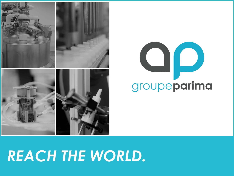# *REACH THE WORLD.*





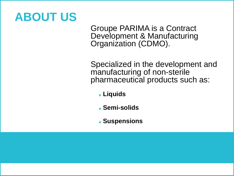### **ABOUT US**

Groupe PARIMA is a Contract Development & Manufacturing Organization (CDMO).

Specialized in the development and manufacturing of non-sterile pharmaceutical products such as:

- **Liquids**
- **Semi-solids**
- **Suspensions**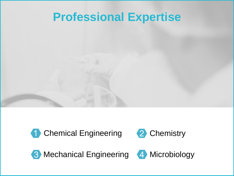#### **Professional Expertise**





3 Mechanical Engineering 4 Microbiology

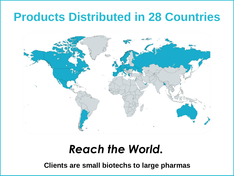### **Products Distributed in 28 Countries**



#### *Reach the World.*

**Clients are small biotechs to large pharmas**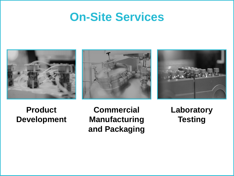#### **On-Site Services**







#### **Product Development**

**Commercial Manufacturing and Packaging** **Laboratory Testing**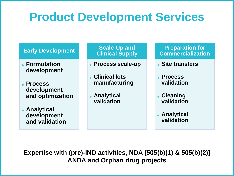### **Product Development Services**

#### **Early Development**

- **Formulation development**
- **Process development and optimization**

**Analytical development and validation**

**Scale-Up and Clinical Supply**

- **Process scale-up**
- **Clinical lots manufacturing**
- **Analytical validation**

**Preparation for Commercialization**

- **Site transfers**
- **Process validation**
- **Cleaning validation**
- **Analytical validation**

**Expertise with (pre)-IND activities, NDA [505(b)(1) & 505(b)(2)] ANDA and Orphan drug projects**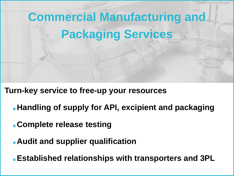# **Commercial Manufacturing and Packaging Services**

**Turn-key service to free-up your resources**

- **Handling of supply for API, excipient and packaging**
- **Complete release testing**
- **Audit and supplier qualification**

**Established relationships with transporters and 3PL**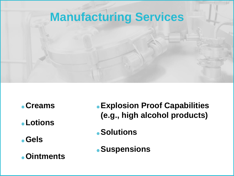### **Manufacturing Services**

- **Creams**
- **Lotions**
- **Gels**
- **Ointments**
- **Explosion Proof Capabilities (e.g., high alcohol products)**
- **Solutions**
- **Suspensions**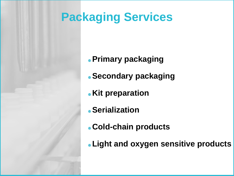## **Packaging Services**

- **Primary packaging**
- **Secondary packaging**
- **Kit preparation**
- **Serialization**
- **Cold-chain products**
- **Light and oxygen sensitive products**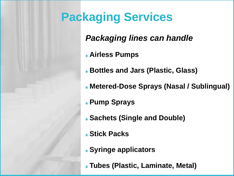

## **Packaging Services**

#### *Packaging lines can handle*

- **Airless Pumps**
- **Bottles and Jars (Plastic, Glass)**
- **Metered-Dose Sprays (Nasal / Sublingual)**
- **Pump Sprays**
- **Sachets (Single and Double)**
- **Stick Packs**
- **Syringe applicators**
- **Tubes (Plastic, Laminate, Metal)**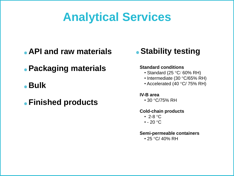### **Analytical Services**

- **API and raw materials**
- **Packaging materials**
- **Bulk**
- **Finished products**



#### **Standard conditions**

- Standard (25 $\degree$ C/60% RH)
- Intermediate (30 °C/65% RH)
- Accelerated (40 $\degree$ C/ 75% RH)

#### **IV-B area**

 $\cdot$  30 °C/75% RH

#### **Cold-chain products**

- 2-8  $\mathrm{^{\circ}C}$
- $\cdot$  20  $^{\circ}$ C

#### **Semi-permeable containers**

 $\cdot$  25 °C/ 40% RH